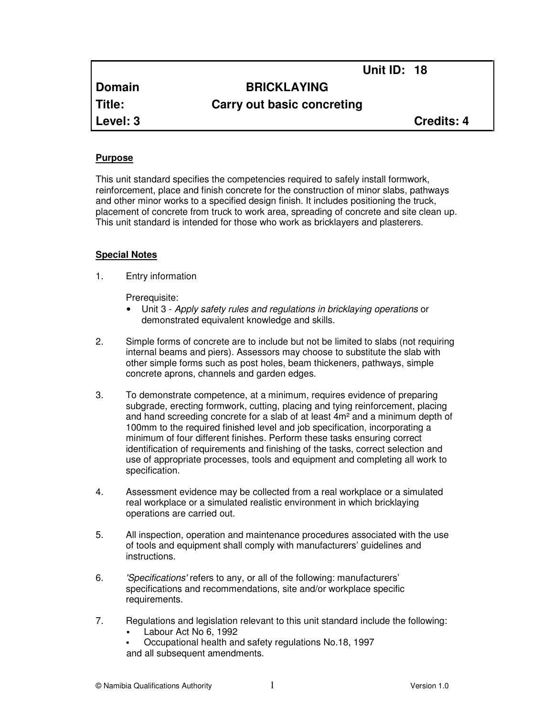**Domain BRICKLAYING**

**Title: Carry out basic concreting**

**Level: 3 Credits: 4**

**Unit ID: 18** 

## **Purpose**

This unit standard specifies the competencies required to safely install formwork, reinforcement, place and finish concrete for the construction of minor slabs, pathways and other minor works to a specified design finish. It includes positioning the truck, placement of concrete from truck to work area, spreading of concrete and site clean up. This unit standard is intended for those who work as bricklayers and plasterers.

#### **Special Notes**

1. Entry information

Prerequisite:

- Unit 3 Apply safety rules and regulations in bricklaying operations or demonstrated equivalent knowledge and skills.
- 2. Simple forms of concrete are to include but not be limited to slabs (not requiring internal beams and piers). Assessors may choose to substitute the slab with other simple forms such as post holes, beam thickeners, pathways, simple concrete aprons, channels and garden edges.
- 3. To demonstrate competence, at a minimum, requires evidence of preparing subgrade, erecting formwork, cutting, placing and tying reinforcement, placing and hand screeding concrete for a slab of at least  $4m<sup>2</sup>$  and a minimum depth of 100mm to the required finished level and job specification, incorporating a minimum of four different finishes. Perform these tasks ensuring correct identification of requirements and finishing of the tasks, correct selection and use of appropriate processes, tools and equipment and completing all work to specification.
- 4. Assessment evidence may be collected from a real workplace or a simulated real workplace or a simulated realistic environment in which bricklaying operations are carried out.
- 5. All inspection, operation and maintenance procedures associated with the use of tools and equipment shall comply with manufacturers' guidelines and instructions.
- 6. 'Specifications' refers to any, or all of the following: manufacturers' specifications and recommendations, site and/or workplace specific requirements.
- 7. Regulations and legislation relevant to this unit standard include the following:
	- Labour Act No 6, 1992
	- Occupational health and safety regulations No.18, 1997
	- and all subsequent amendments.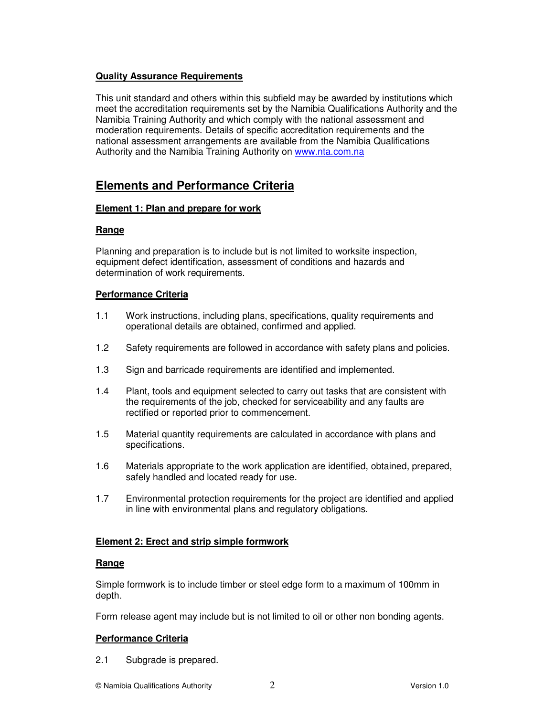# **Quality Assurance Requirements**

This unit standard and others within this subfield may be awarded by institutions which meet the accreditation requirements set by the Namibia Qualifications Authority and the Namibia Training Authority and which comply with the national assessment and moderation requirements. Details of specific accreditation requirements and the national assessment arrangements are available from the Namibia Qualifications Authority and the Namibia Training Authority on www.nta.com.na

# **Elements and Performance Criteria**

# **Element 1: Plan and prepare for work**

# **Range**

Planning and preparation is to include but is not limited to worksite inspection, equipment defect identification, assessment of conditions and hazards and determination of work requirements.

# **Performance Criteria**

- 1.1 Work instructions, including plans, specifications, quality requirements and operational details are obtained, confirmed and applied.
- 1.2 Safety requirements are followed in accordance with safety plans and policies.
- 1.3 Sign and barricade requirements are identified and implemented.
- 1.4 Plant, tools and equipment selected to carry out tasks that are consistent with the requirements of the job, checked for serviceability and any faults are rectified or reported prior to commencement.
- 1.5 Material quantity requirements are calculated in accordance with plans and specifications.
- 1.6 Materials appropriate to the work application are identified, obtained, prepared, safely handled and located ready for use.
- 1.7 Environmental protection requirements for the project are identified and applied in line with environmental plans and regulatory obligations.

# **Element 2: Erect and strip simple formwork**

## **Range**

Simple formwork is to include timber or steel edge form to a maximum of 100mm in depth.

Form release agent may include but is not limited to oil or other non bonding agents.

# **Performance Criteria**

2.1 Subgrade is prepared.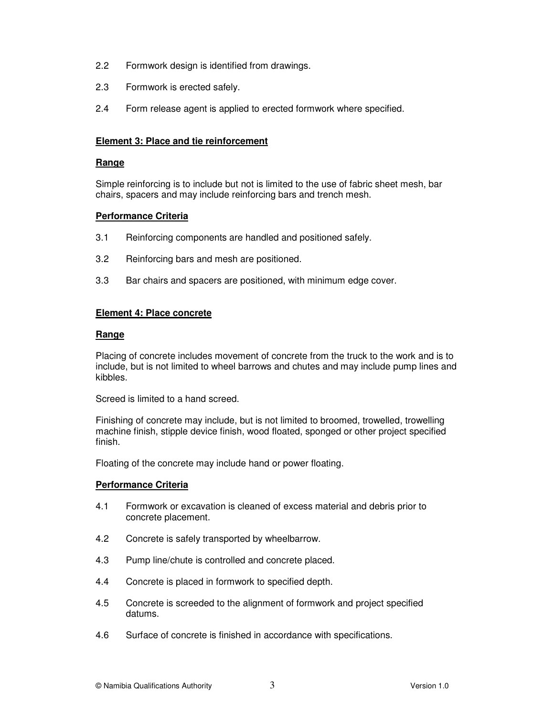- 2.2 Formwork design is identified from drawings.
- 2.3 Formwork is erected safely.
- 2.4 Form release agent is applied to erected formwork where specified.

#### **Element 3: Place and tie reinforcement**

#### **Range**

Simple reinforcing is to include but not is limited to the use of fabric sheet mesh, bar chairs, spacers and may include reinforcing bars and trench mesh.

#### **Performance Criteria**

- 3.1 Reinforcing components are handled and positioned safely.
- 3.2 Reinforcing bars and mesh are positioned.
- 3.3 Bar chairs and spacers are positioned, with minimum edge cover.

#### **Element 4: Place concrete**

#### **Range**

Placing of concrete includes movement of concrete from the truck to the work and is to include, but is not limited to wheel barrows and chutes and may include pump lines and kibbles.

Screed is limited to a hand screed.

Finishing of concrete may include, but is not limited to broomed, trowelled, trowelling machine finish, stipple device finish, wood floated, sponged or other project specified finish.

Floating of the concrete may include hand or power floating.

## **Performance Criteria**

- 4.1 Formwork or excavation is cleaned of excess material and debris prior to concrete placement.
- 4.2 Concrete is safely transported by wheelbarrow.
- 4.3 Pump line/chute is controlled and concrete placed.
- 4.4 Concrete is placed in formwork to specified depth.
- 4.5 Concrete is screeded to the alignment of formwork and project specified datums.
- 4.6 Surface of concrete is finished in accordance with specifications.